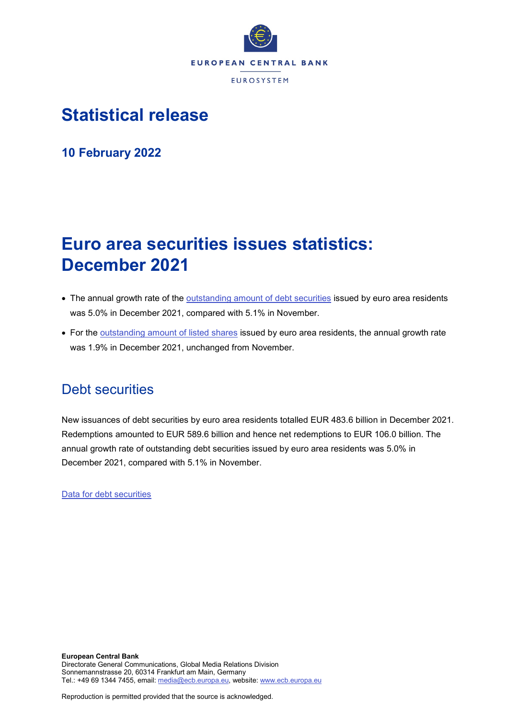

# **Statistical release**

**10 February 2022**

# **Euro area securities issues statistics: December 2021**

- The annual growth rate of the [outstanding amount of debt securities](http://sdw.ecb.europa.eu/quickview.do?SERIES_KEY=130.SEC.M.I8.1000.F33000.N.I.Z01.A.Z) issued by euro area residents was 5.0% in December 2021, compared with 5.1% in November.
- For the [outstanding amount of listed shares](http://sdw.ecb.europa.eu/quickview.do?SERIES_KEY=130.SEC.M.I8.1000.F51100.M.I.Z01.A.Z) issued by euro area residents, the annual growth rate was 1.9% in December 2021, unchanged from November.

## Debt securities

New issuances of debt securities by euro area residents totalled EUR 483.6 billion in December 2021. Redemptions amounted to EUR 589.6 billion and hence net redemptions to EUR 106.0 billion. The annual growth rate of outstanding debt securities issued by euro area residents was 5.0% in December 2021, compared with 5.1% in November.

[Data for debt securities](http://sdw.ecb.europa.eu/browseSelection.do?type=series&q=SEC.M.I8.1000.F33000.N.2.Z01.E.Z%2c+SEC.M.I8.1000.F33000.N.3.Z01.E.Z%2c+SEC.M.I8.1000.F33000.N.4.Z01.E.Z%2c+SEC.M.I8.1000.F33000.N.I.Z01.A.Z&node=SEARCHRESULTS&ec=&oc=&rc=&cv=&pb=&dc=&df=)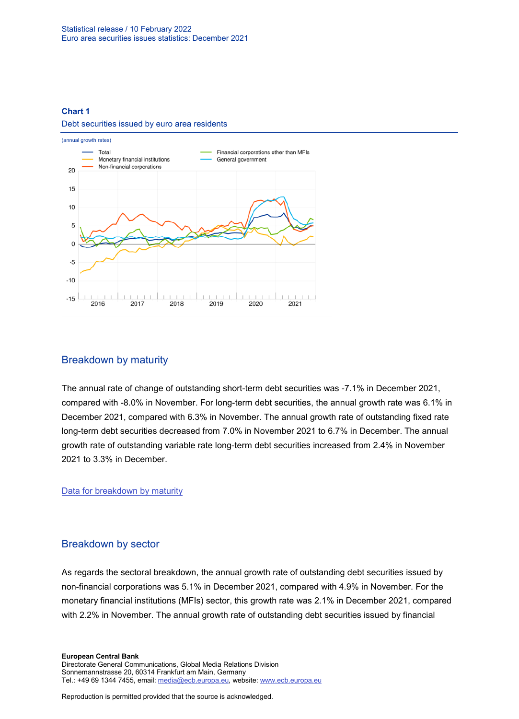#### **Chart 1**

#### Debt securities issued by euro area residents



#### Breakdown by maturity

The annual rate of change of outstanding short-term debt securities was -7.1% in December 2021, compared with -8.0% in November. For long-term debt securities, the annual growth rate was 6.1% in December 2021, compared with 6.3% in November. The annual growth rate of outstanding fixed rate long-term debt securities decreased from 7.0% in November 2021 to 6.7% in December. The annual growth rate of outstanding variable rate long-term debt securities increased from 2.4% in November 2021 to 3.3% in December.

[Data for breakdown by maturity](http://sdw.ecb.europa.eu/browseSelection.do?type=series&q=SEC.M.I8.1000.F33100.N.I.Z01.A.Z%2c+SEC.M.I8.1000.F33200.N.I.Z01.A.Z%2c+SEC.M.I8.1000.F33201.N.I.Z01.A.Z%2c+SEC.M.I8.1000.F33202.N.I.Z01.A.Z&node=SEARCHRESULTS&ec=&oc=&rc=&cv=&pb=&dc=&df=)

### Breakdown by sector

As regards the sectoral breakdown, the annual growth rate of outstanding debt securities issued by non-financial corporations was 5.1% in December 2021, compared with 4.9% in November. For the monetary financial institutions (MFIs) sector, this growth rate was 2.1% in December 2021, compared with 2.2% in November. The annual growth rate of outstanding debt securities issued by financial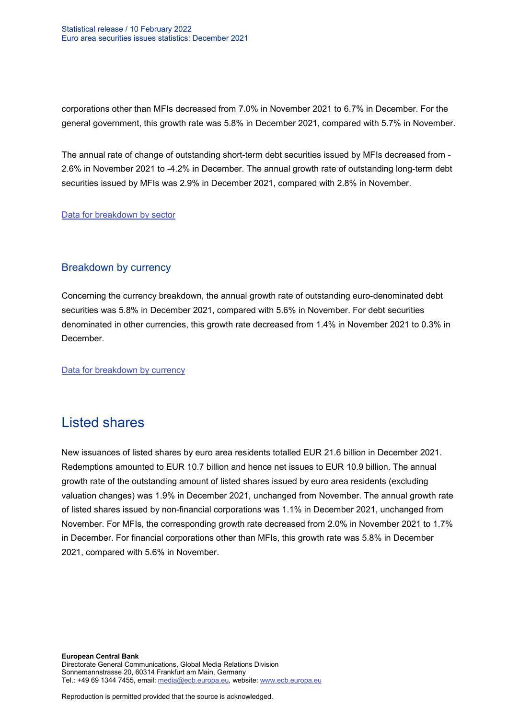corporations other than MFIs decreased from 7.0% in November 2021 to 6.7% in December. For the general government, this growth rate was 5.8% in December 2021, compared with 5.7% in November.

The annual rate of change of outstanding short-term debt securities issued by MFIs decreased from - 2.6% in November 2021 to -4.2% in December. The annual growth rate of outstanding long-term debt securities issued by MFIs was 2.9% in December 2021, compared with 2.8% in November.

[Data for breakdown by sector](http://sdw.ecb.europa.eu/browseSelection.do?type=series&q=SEC.M.I8.1100.F33000.N.I.Z01.A.Z%2cSEC.M.I8.1220.F33000.N.I.Z01.A.Z%2cSEC.M.I8.1235.F33000.N.I.Z01.A.Z%2cSEC.M.I8.1300.F33000.N.I.Z01.A.Z%2cSEC.M.I8.1220.F33100.N.I.Z01.A.Z%2cSEC.M.I8.1220.F33200.N.I.Z01.A.Z&node=SEARCHRESULTS&ec=&oc=&rc=&cv=&pb=&dc=&df=)

### Breakdown by currency

Concerning the currency breakdown, the annual growth rate of outstanding euro-denominated debt securities was 5.8% in December 2021, compared with 5.6% in November. For debt securities denominated in other currencies, this growth rate decreased from 1.4% in November 2021 to 0.3% in December.

[Data for breakdown by currency](http://sdw.ecb.europa.eu/browseSelection.do?type=series&q=SEC.M.I8.1000.F33000.N.I.EUR.A.Z%2cSEC.M.I8.1000.F33000.N.I.Z06.A.Z&node=SEARCHRESULTS&ec=&oc=&rc=&cv=&pb=&dc=&df=)

## Listed shares

New issuances of listed shares by euro area residents totalled EUR 21.6 billion in December 2021. Redemptions amounted to EUR 10.7 billion and hence net issues to EUR 10.9 billion. The annual growth rate of the outstanding amount of listed shares issued by euro area residents (excluding valuation changes) was 1.9% in December 2021, unchanged from November. The annual growth rate of listed shares issued by non-financial corporations was 1.1% in December 2021, unchanged from November. For MFIs, the corresponding growth rate decreased from 2.0% in November 2021 to 1.7% in December. For financial corporations other than MFIs, this growth rate was 5.8% in December 2021, compared with 5.6% in November.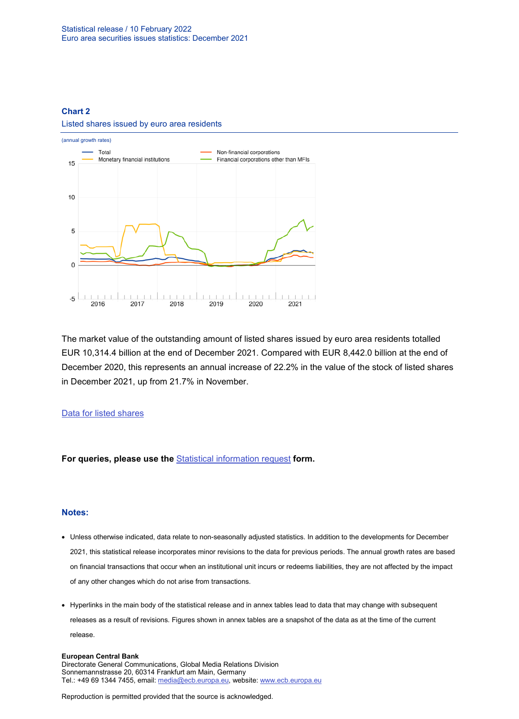### **Chart 2** Listed shares issued by euro area residents



The market value of the outstanding amount of listed shares issued by euro area residents totalled EUR 10,314.4 billion at the end of December 2021. Compared with EUR 8,442.0 billion at the end of December 2020, this represents an annual increase of 22.2% in the value of the stock of listed shares in December 2021, up from 21.7% in November.

#### [Data for listed shares](http://sdw.ecb.europa.eu/browseSelection.do?type=series&q=SEC.M.I8.1000.F51100.M.2.Z01.E.Z%2cSEC.M.I8.1000.F51100.M.3.Z01.E.Z%2cSEC.M.I8.1000.F51100.M.4.Z01.E.Z%2cSEC.M.I8.1000.F51100.M.I.Z01.A.Z%2cSEC.M.I8.1100.F51100.M.I.Z01.A.Z%2cSEC.M.I8.1220.F51100.M.I.Z01.A.Z%2cSEC.M.I8.1235.F51100.M.I.Z01.A.Z%2cSEC.M.I8.1000.F51100.M.1.Z01.E.Z&node=SEARCHRESULTS&ec=&oc=&rc=&cv=&pb=&dc=&df=)

**For queries, please use the** [Statistical information request](https://ecb-registration.escb.eu/statistical-information) **form.**

#### **Notes:**

- Unless otherwise indicated, data relate to non-seasonally adjusted statistics. In addition to the developments for December 2021, this statistical release incorporates minor revisions to the data for previous periods. The annual growth rates are based on financial transactions that occur when an institutional unit incurs or redeems liabilities, they are not affected by the impact of any other changes which do not arise from transactions.
- Hyperlinks in the main body of the statistical release and in annex tables lead to data that may change with subsequent releases as a result of revisions. Figures shown in annex tables are a snapshot of the data as at the time of the current release.

#### **European Central Bank**

Directorate General Communications, Global Media Relations Division Sonnemannstrasse 20, 60314 Frankfurt am Main, Germany Tel.: +49 69 1344 7455, email[: media@ecb.europa.eu,](mailto:media@ecb.europa.eu) website: www.ecb.europa.eu

Reproduction is permitted provided that the source is acknowledged.